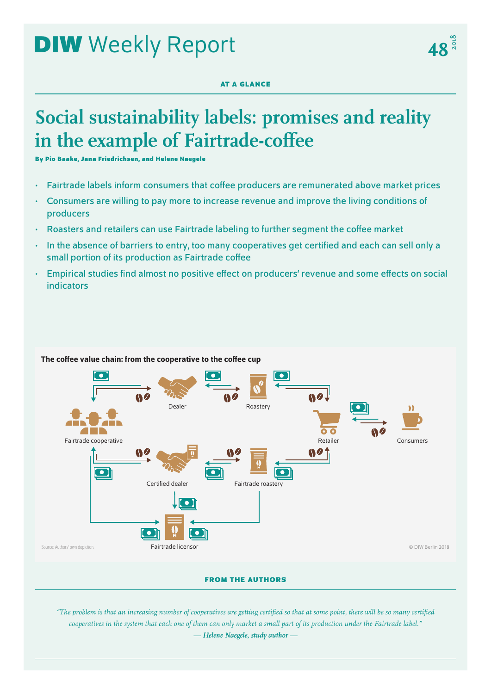# **DIW** Weekly Report

## **AT A GLANCE**

## **Social sustainability labels: promises and reality in the example of Fairtrade-coffee**

**By Pio Baake, Jana Friedrichsen, and Helene Naegele**

- Fairtrade labels inform consumers that coffee producers are remunerated above market prices
- Consumers are willing to pay more to increase revenue and improve the living conditions of producers
- Roasters and retailers can use Fairtrade labeling to further segment the coffee market
- In the absence of barriers to entry, too many cooperatives get certified and each can sell only a small portion of its production as Fairtrade coffee
- Empirical studies find almost no positive effect on producers' revenue and some effects on social indicators



## The coffee value chain: from the cooperative to the coffee cup

**FROM THE AUTHORS**

*"The problem is that an increasing number of cooperatives are getting certified so that at some point, there will be so many certified cooperatives in the system that each one of them can only market a small part of its production under the Fairtrade label." — Helene Naegele, study author —*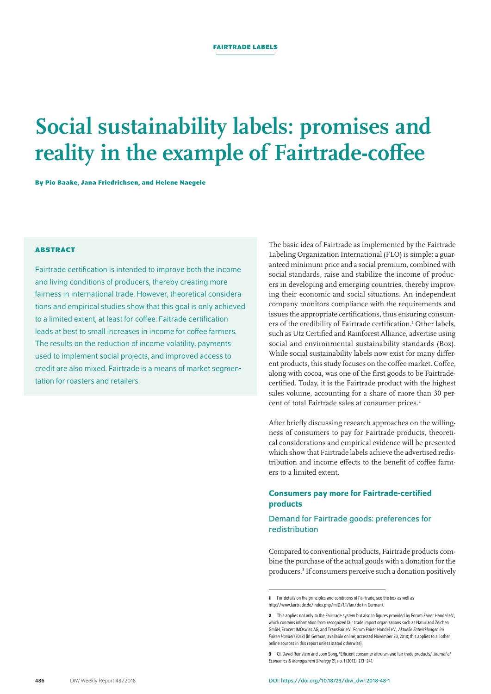## **Social sustainability labels: promises and reality in the example of Fairtrade-coffee**

**By Pio Baake, Jana Friedrichsen, and Helene Naegele**

## **ABSTRACT**

Fairtrade certification is intended to improve both the income and living conditions of producers, thereby creating more fairness in international trade. However, theoretical considerations and empirical studies show that this goal is only achieved to a limited extent, at least for coffee: Faitrade certification leads at best to small increases in income for coffee farmers. The results on the reduction of income volatility, payments used to implement social projects, and improved access to credit are also mixed. Fairtrade is a means of market segmentation for roasters and retailers.

The basic idea of Fairtrade as implemented by the Fairtrade Labeling Organization International (FLO) is simple: a guaranteed minimum price and a social premium, combined with social standards, raise and stabilize the income of producers in developing and emerging countries, thereby improving their economic and social situations. An independent company monitors compliance with the requirements and issues the appropriate certifications, thus ensuring consumers of the credibility of Fairtrade certification.<sup>1</sup> Other labels, such as Utz Certified and Rainforest Alliance, advertise using social and environmental sustainability standards (Box). While social sustainability labels now exist for many different products, this study focuses on the coffee market. Coffee, along with cocoa, was one of the first goods to be Fairtradecertified. Today, it is the Fairtrade product with the highest sales volume, accounting for a share of more than 30 percent of total Fairtrade sales at consumer prices.<sup>2</sup>

After briefly discussing research approaches on the willingness of consumers to pay for Fairtrade products, theoretical considerations and empirical evidence will be presented which show that Fairtrade labels achieve the advertised redistribution and income effects to the benefit of coffee farmers to a limited extent.

## Consumers pay more for Fairtrade-certified products

## Demand for Fairtrade goods: preferences for redistribution

Compared to conventional products, Fairtrade products combine the purchase of the actual goods with a donation for the producers.3 If consumers perceive such a donation positively

**<sup>1</sup>** For details on the principles and conditions of Fairtrade, see the box as well as <http://www.fairtrade.de/index.php/mID/1.1/lan/de> (in German).

<sup>2</sup> This applies not only to the Fairtrade system but also to figures provided by Forum Fairer Handel e.V., which contains information from recognized fair trade import organizations such as Naturland Zeichen GmbH, Ecocert IMOswiss AG, and TransFair e.V.: Forum Fairer Handel e.V., *Aktuelle Entwicklungen im*  Fairen Handel (2018) (in German; [available online;](http://www.forum-fairer-handel.de/fileadmin/user_upload/dateien/jpk/jpk_2018/2018_aktuelle-entwicklungen_web.pdf) accessed November 20, 2018; this applies to all other online sources in this report unless stated otherwise).

**<sup>3</sup>** Cf. David Reinstein and Joon Song, "Efficient consumer altruism and fair trade products," *Journal of Economics & Management Strategy* 21, no. 1 (2012): 213–241.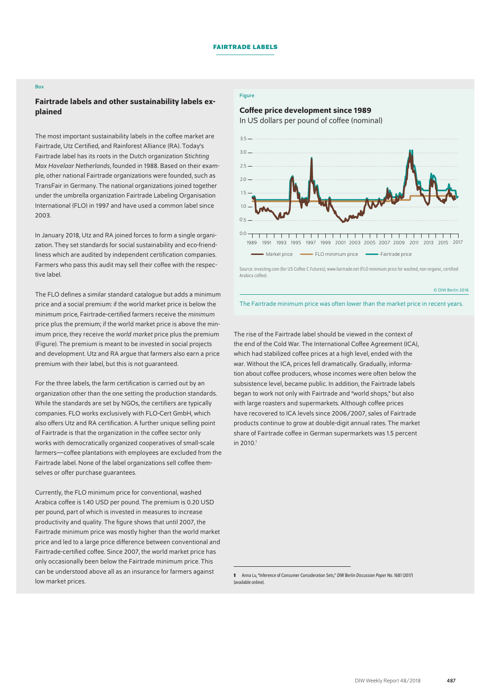#### Box

## Fairtrade labels and other sustainability labels explained

The most important sustainability labels in the coffee market are Fairtrade, Utz Certified, and Rainforest Alliance (RA). Today's Fairtrade label has its roots in the Dutch organization *Stichting Max Havelaar Netherlands*, founded in 1988. Based on their example, other national Fairtrade organizations were founded, such as TransFair in Germany. The national organizations joined together under the umbrella organization Fairtrade Labeling Organisation International (FLO) in 1997 and have used a common label since 2003.

In January 2018, Utz and RA joined forces to form a single organization. They set standards for social sustainability and eco-friendliness which are audited by independent certification companies. Farmers who pass this audit may sell their coffee with the respective label.

The FLO defines a similar standard catalogue but adds a minimum price and a social premium: if the world market price is below the minimum price, Fairtrade-certified farmers receive the *minimum* price plus the premium; if the world market price is above the minimum price, they receive the *world market* price plus the premium (Figure). The premium is meant to be invested in social projects and development. Utz and RA argue that farmers also earn a price premium with their label, but this is not guaranteed.

For the three labels, the farm certification is carried out by an organization other than the one setting the production standards. While the standards are set by NGOs, the certifiers are typically companies. FLO works exclusively with FLO-Cert GmbH, which also offers Utz and RA certification. A further unique selling point of Fairtrade is that the organization in the coffee sector only works with democratically organized cooperatives of small-scale farmers—coffee plantations with employees are excluded from the Fairtrade label. None of the label organizations sell coffee themselves or offer purchase guarantees.

Currently, the FLO minimum price for conventional, washed Arabica coffee is 1.40 USD per pound. The premium is 0.20 USD per pound, part of which is invested in measures to increase productivity and quality. The figure shows that until 2007, the Fairtrade minimum price was mostly higher than the world market price and led to a large price difference between conventional and Fairtrade-certified coffee. Since 2007, the world market price has only occasionally been below the Fairtrade minimum price. This can be understood above all as an insurance for farmers against low market prices.

### **Figure**

## Coffee price development since 1989





Source: investing.com (for US Coffee C Futures); www.fairtrade.net (FLO minimum price for washed, non-organic, certified Arabica coffee).

© DIW Berlin 2018

The Fairtrade minimum price was often lower than the market price in recent years.

The rise of the Fairtrade label should be viewed in the context of the end of the Cold War. The International Coffee Agreement (ICA), which had stabilized coffee prices at a high level, ended with the war. Without the ICA, prices fell dramatically. Gradually, information about coffee producers, whose incomes were often below the subsistence level, became public. In addition, the Fairtrade labels began to work not only with Fairtrade and "world shops," but also with large roasters and supermarkets. Although coffee prices have recovered to ICA levels since 2006/2007, sales of Fairtrade products continue to grow at double-digit annual rates. The market share of Fairtrade coffee in German supermarkets was 1.5 percent in 2010.1

**<sup>1</sup>** Anna Lu, "Inference of Consumer Consideration Sets," *DIW Berlin Discussion Paper* No. 1681 (2017) ([available online](https://www.diw.de/documents/publikationen/73/diw_01.c.563921.de/dp1681.pdf)).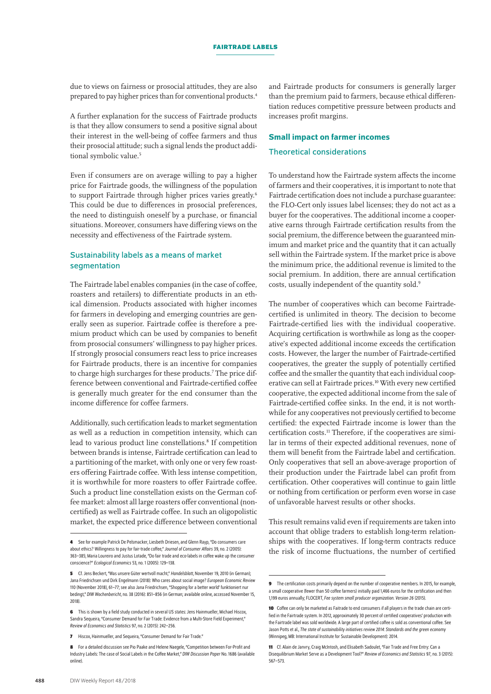due to views on fairness or prosocial attitudes, they are also prepared to pay higher prices than for conventional products.<sup>4</sup>

A further explanation for the success of Fairtrade products is that they allow consumers to send a positive signal about their interest in the well-being of coffee farmers and thus their prosocial attitude; such a signal lends the product additional symbolic value.<sup>5</sup>

Even if consumers are on average willing to pay a higher price for Fairtrade goods, the willingness of the population to support Fairtrade through higher prices varies greatly.<sup>6</sup> This could be due to differences in prosocial preferences, the need to distinguish oneself by a purchase, or financial situations. Moreover, consumers have differing views on the necessity and effectiveness of the Fairtrade system.

## Sustainability labels as a means of market segmentation

The Fairtrade label enables companies (in the case of coffee, roasters and retailers) to differentiate products in an ethical dimension. Products associated with higher incomes for farmers in developing and emerging countries are generally seen as superior. Fairtrade coffee is therefore a premium product which can be used by companies to benefit from prosocial consumers' willingness to pay higher prices. If strongly prosocial consumers react less to price increases for Fairtrade products, there is an incentive for companies to charge high surcharges for these products.<sup>7</sup> The price difference between conventional and Fairtrade-certified coffee is generally much greater for the end consumer than the income difference for coffee farmers.

Additionally, such certification leads to market segmentation as well as a reduction in competition intensity, which can lead to various product line constellations.<sup>8</sup> If competition between brands is intense, Fairtrade certification can lead to a partitioning of the market, with only one or very few roasters offering Fairtrade coffee. With less intense competition, it is worthwhile for more roasters to offer Fairtrade coffee. Such a product line constellation exists on the German coffee market: almost all large roasters offer conventional (noncertified) as well as Fairtrade coffee. In such an oligopolistic market, the expected price difference between conventional

and Fairtrade products for consumers is generally larger than the premium paid to farmers, because ethical differentiation reduces competitive pressure between products and increases profit margins.

### Small impact on farmer incomes

## Theoretical considerations

To understand how the Fairtrade system affects the income of farmers and their cooperatives, it is important to note that Fairtrade certification does not include a purchase guarantee: the FLO-Cert only issues label licenses; they do not act as a buyer for the cooperatives. The additional income a cooperative earns through Fairtrade certification results from the social premium, the difference between the guaranteed minimum and market price and the quantity that it can actually sell within the Fairtrade system. If the market price is above the minimum price, the additional revenue is limited to the social premium. In addition, there are annual certification costs, usually independent of the quantity sold.<sup>9</sup>

The number of cooperatives which can become Fairtradecertified is unlimited in theory. The decision to become Fairtrade-certified lies with the individual cooperative. Acquiring certification is worthwhile as long as the cooperative's expected additional income exceeds the certification costs. However, the larger the number of Fairtrade-certified cooperatives, the greater the supply of potentially certified coffee and the smaller the quantity that each individual cooperative can sell at Fairtrade prices.<sup>10</sup> With every new certified cooperative, the expected additional income from the sale of Fairtrade-certified coffee sinks. In the end, it is not worthwhile for any cooperatives not previously certified to become certified: the expected Fairtrade income is lower than the certification costs.<sup>11</sup> Therefore, if the cooperatives are similar in terms of their expected additional revenues, none of them will benefit from the Fairtrade label and certification. Only cooperatives that sell an above-average proportion of their production under the Fairtrade label can profit from certification. Other cooperatives will continue to gain little or nothing from certification or perform even worse in case of unfavorable harvest results or other shocks.

This result remains valid even if requirements are taken into account that oblige traders to establish long-term relationships with the cooperatives. If long-term contracts reduce the risk of income fluctuations, the number of certified

**<sup>4</sup>** See for example Patrick De Pelsmacker, Liesbeth Driesen, and Glenn Rayp, "Do consumers care about ethics? Willingness to pay for fair-trade coffee," *Journal of Consumer Affairs* 39, no.2 (2005): 363–385; Maria Loureiro and Justus Lotade, "Do fair trade and eco-labels in coffee wake up the consumer conscience?" *Ecological Economics* 53, no. 1 (2005): 129–138.

**<sup>5</sup>** Cf. Jens Beckert, "Was unsere Güter wertvoll macht," *Handelsblatt*, November 19, 2010 (in German); Jana Friedrichsen und Dirk Engelmann (2018): Who cares about social image? *European Economic Review* 110 (November 2018), 61–77; see also Jana Friedrichsen, "Shopping for a better world' funktioniert nur bedingt," *DIW Wochenbericht*, no.38 (2016): 851–856 (in German; [available online, accessed November](https://www.diw.de/documents/publikationen/73/diw_01.c.542843.de/16-38-1.pdf) 15, [2018\).](https://www.diw.de/documents/publikationen/73/diw_01.c.542843.de/16-38-1.pdf)

**<sup>6</sup>** This is shown by a field study conducted in several US states: Jens Hainmueller, Michael Hiscox, Sandra Sequeira, "Consumer Demand for Fair Trade: Evidence from a Multi-Store Field Experiment" *Review of Economics and Statistics* 97, no.2 (2015): 242–256.

**<sup>7</sup>** Hiscox, Hainmueller, and Sequeira, "Consumer Demand for Fair Trade."

**<sup>8</sup>** For a detailed discussion see Pio Paake and Helene Naegele, "Competition between For-Profit and Industry Labels: The case of Social Labels in the Coffee Market," *DIW Discussion Paper* No. 1686 ([available](https://www.diw.de/documents/publikationen/73/diw_01.c.564886.de/dp1686.pdf)  [online](https://www.diw.de/documents/publikationen/73/diw_01.c.564886.de/dp1686.pdf)).

**<sup>9</sup>** The certification costs primarily depend on the number of cooperative members. In 2015, for example, a small cooperative (fewer than 50 coffee farmers) initially paid 1,466 euros for the certification and then 1,199 euros annually; FLOCERT, *Fee system small producer organization. Version 26* (2015).

**<sup>10</sup>** Coffee can only be marketed as Faitrade to end consumers if all players in the trade chain are certified in the Fairtrade system. In 2012, approximately 30 percent of certified cooperatives' production with the Fairtrade label was sold worldwide. A large part of certified coffee is sold as conventional coffee. See Jason Potts etal., *The state of sustainability initiatives review 2014: Standards and the green economy* (Winnipeg, MB: International Institute for Sustainable Development): 2014.

**<sup>11</sup>** Cf. [Alain de Janvry,](http://www.mitpressjournals.org/author/de+Janvry%2C+Alain) [Craig McIntosh,](http://www.mitpressjournals.org/author/McIntosh%2C+Craig) and [Elisabeth Sadoulet](http://www.mitpressjournals.org/author/Sadoulet%2C+Elisabeth), "Fair Trade and Free Entry: Can a Disequilibrium Market Serve as a Development Tool?" *Review of Economics and Statistics* 97, no.3 (2015): 567–573.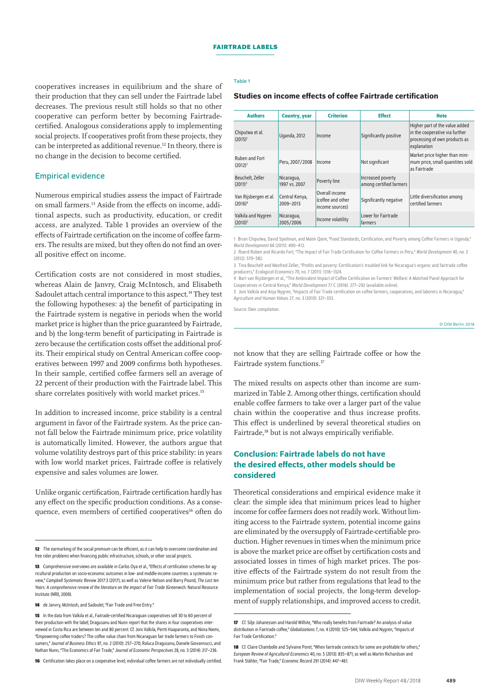#### Table 1

cooperatives increases in equilibrium and the share of their production that they can sell under the Fairtrade label decreases. The previous result still holds so that no other cooperative can perform better by becoming Fairtradecertified. Analogous considerations apply to implementing social projects. If cooperatives profit from these projects, they can be interpreted as additional revenue.12 In theory, there is no change in the decision to become certified.

## Empirical evidence

Numerous empirical studies assess the impact of Fairtrade on small farmers.13 Aside from the effects on income, additional aspects, such as productivity, education, or credit access, are analyzed. Table 1 provides an overview of the effects of Fairtrade certification on the income of coffee farmers. The results are mixed, but they often do not find an overall positive effect on income.

Certification costs are not considered in most studies, whereas Alain de Janvry, Craig McIntosch, and Elisabeth Sadoulet attach central importance to this aspect.<sup>14</sup> They test the following hypotheses: a) the benefit of participating in the Fairtrade system is negative in periods when the world market price is higher than the price guaranteed by Fairtrade, and b) the long-term benefit of participating in Fairtrade is zero because the certification costs offset the additional profits. Their empirical study on Central American coffee cooperatives between 1997 and 2009 confirms both hypotheses. In their sample, certified coffee farmers sell an average of 22 percent of their production with the Fairtrade label. This share correlates positively with world market prices.15

In addition to increased income, price stability is a central argument in favor of the Fairtrade system. As the price cannot fall below the Fairtrade minimum price, price volatility is automatically limited. However, the authors argue that volume volatility destroys part of this price stability: in years with low world market prices, Fairtrade coffee is relatively expensive and sales volumes are lower.

Unlike organic certification, Fairtrade certification hardly has any effect on the specific production conditions. As a consequence, even members of certified cooperatives<sup>16</sup> often do

**16** Certification takes place on a cooperative level; individual coffee farmers are not individually certified.

## Studies on income effects of coffee Fairtrade certification

| <b>Authors</b>                      | <b>Country, year</b>            | <b>Criterion</b>                                       | <b>Effect</b>                                | <b>Note</b>                                                                                                      |
|-------------------------------------|---------------------------------|--------------------------------------------------------|----------------------------------------------|------------------------------------------------------------------------------------------------------------------|
| Chiputwa et al.<br>$(2015)^1$       | Uganda, 2012                    | Income                                                 | Significantly positive                       | Higher part of the value added<br>in the cooperative via further<br>processing of own products as<br>explanation |
| Ruben and Fort<br>$(2012)^2$        | Peru, 2007/2008                 | Income                                                 | Not significant                              | Market price higher than mini-<br>mum price, small quanitites sold<br>as Fairtrade                               |
| Beuchelt, Zeller<br>$(2011)^3$      | Nicaragua,<br>1997 vs. 2007     | Poverty line                                           | Increased poverty<br>among certified farmers |                                                                                                                  |
| Van Rijsbergen et al.<br>$(2016)^4$ | Central Kenya,<br>$2009 - 2013$ | Overall income<br>(coffee and other<br>income sources) | Significantly negative                       | Little diversification among<br>certified farmers                                                                |
| Valkila and Nygren<br>$(2010)^5$    | Nicaragua,<br>2005/2006         | Income volatility                                      | <b>Lower for Fairtrade</b><br>farmers        |                                                                                                                  |

1 Brian Chiputwa, David Spielman, and Matin Qaim, "Food Standards, Certification, and Poverty among Coffee Farmers in Uganda," *World Development* 66 (2015): 400–412.

2 Ruerd Ruben and Ricardo Fort, "The Impact of Fair Trade Certification for Coffee Farmers in Peru," *World Development* 40, no. 3 (2012): 570–582.

3 Tina Beuchelt and Manfred Zeller, "Profits and poverty: Certification's troubled link for Nicaragua's organic and fairtrade coffee producers," *Ecological Economics* 70, no. 7 (2011): 1316–1324.

4 Bart van Rijsbergen et al., "The Ambivalent Impact of Coffee Certification on Farmers' Welfare: A Matched Panel Approach for Cooperatives in Central Kenya," *World Development* 77 C (2016): 277–292 (available online).

5 Joni Valkila and Anja Nygren, "Impacts of Fair Trade certification on coffee farmers, cooperatives, and laborers in Nicaragua," *Agriculture and Human Values* 27, no. 3 (2010): 321–333.

Source: Own compilation.

#### © DIW Berlin 2018

not know that they are selling Fairtrade coffee or how the Fairtrade system functions.<sup>17</sup>

The mixed results on aspects other than income are summarized in Table 2. Among other things, certification should enable coffee farmers to take over a larger part of the value chain within the cooperative and thus increase profits. This effect is underlined by several theoretical studies on Fairtrade,<sup>18</sup> but is not always empirically verifiable.

## Conclusion: Fairtrade labels do not have the desired effects, other models should be considered

Theoretical considerations and empirical evidence make it clear: the simple idea that minimum prices lead to higher income for coffee farmers does not readily work. Without limiting access to the Fairtrade system, potential income gains are eliminated by the oversupply of Fairtrade-certifiable production. Higher revenues in times when the minimum price is above the market price are offset by certification costs and associated losses in times of high market prices. The positive effects of the Fairtrade system do not result from the minimum price but rather from regulations that lead to the implementation of social projects, the long-term development of supply relationships, and improved access to credit.

**<sup>12</sup>** The earmarking of the social premium can be efficient, as it can help to overcome coordination and free rider problems when financing public infrastructure, schools, or other social projects.

**<sup>13</sup>** Comprehensive overviews are available in Carlos Oya et al., "Effects of certification schemes for agricultural production on socio-economic outcomes in low- and middle-income countries: a systematic review," *Campbell Systematic Review* 2017:3 (2017); as well as Valerie Nelson and Barry Pound, *The Last ten Years: A comprehensive review of the literature on the impact of Fair Trade* (Greenwich: Natural Resource Institute (NRI), 2009).

**<sup>14</sup>** de Janvry, McIntosh, and Sadoulet, "Fair Trade and Free Entry."

<sup>15</sup> In the data from Valkila et al., Faitrade-certified Nicaraguan cooperatives sell 30 to 60 percent of their production with the label; Dragusanu and Nunn report that the shares in four cooperatives interviewed in Costa Rica are between ten and 80 percent. Cf. Joni Valkila, Pertti Haaparanta, and Niina Niemi, "Empowering coffee traders? The coffee value chain from Nicaraguan fair trade farmers to Finish consumers," *Journal of Business Ethics* 97, no.2 (2010): 257–270; Raluca Dragusanu, Daniele Giovannucci, and Nathan Nunn, "The Economics of Fair Trade," *Journal of Economic Perspectives* 28, no.3 (2014): 217–236.

**<sup>17</sup>** Cf. Silje Johanessen and Harold Wilhite, "Who really benefits from Fairtrade? An analysis of value distribution in Fairtrade coffee," *Globalizations* 7, no. 4 (2010): 525–544; Valkila and Nygren, "Impacts of Fair Trade Certification."

**<sup>18</sup>** Cf. Claire Chambolle and Sylvaine Poret, "When fairtrade contracts for some are profitable for others," *European Review of Agricultural Economics* 40, no. 5 (2013): 835–871; as well as Martin Richardson and Frank Stähler, "Fair Trade," *Economic Record* 291 (2014): 447–461.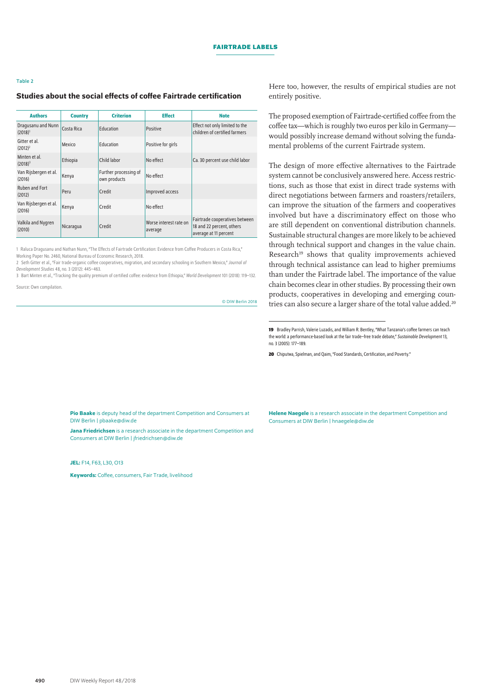## **Fairtrade labels**

#### Table 2

## Studies about the social effects of coffee Fairtrade certification

| <b>Authors</b>                   | <b>Country</b> | <b>Criterion</b>                      | <b>Effect</b>                     | <b>Note</b>                                                                          |
|----------------------------------|----------------|---------------------------------------|-----------------------------------|--------------------------------------------------------------------------------------|
| Dragusanu and Nunn<br>$(2018)^1$ | Costa Rica     | Education                             | <b>Positive</b>                   | Effect not only limited to the<br>children of certified farmers                      |
| Gitter et al.<br>$(2012)^2$      | Mexico         | Education                             | Positive for girls                |                                                                                      |
| Minten et al.<br>$(2018)^3$      | Ethiopia       | Child labor                           | No effect                         | Ca. 30 percent use child labor                                                       |
| Van Rijsbergen et al.<br>(2016)  | Kenya          | Further processing of<br>own products | No effect                         |                                                                                      |
| Ruben and Fort<br>(2012)         | Peru           | Credit                                | Improved access                   |                                                                                      |
| Van Rijsbergen et al.<br>(2016)  | Kenya          | Credit                                | No effect                         |                                                                                      |
| Valkila and Nygren<br>(2010)     | Nicaragua      | Credit                                | Worse interest rate on<br>average | Fairtrade cooperatives between<br>18 and 22 percent, others<br>average at 11 percent |

1 Raluca Dragusanu and Nathan Nunn, "The Effects of Fairtrade Certification: Evidence from Coffee Producers in Costa Rica," Working Paper No. 2460, National Bureau of Economic Research, 2018.

2 Seth Gitter et al., "Fair trade-organic coffee cooperatives, migration, and secondary schooling in Southern Mexico," *Journal of Development Studies* 48, no. 3 (2012): 445–463.

3 Bart Minten et al., "Tracking the quality premium of certified coffee: evidence from Ethiopia," *World Development* 101 (2018): 119–132.

Source: Own compilation.

#### © DIW Berlin 2018

Here too, however, the results of empirical studies are not entirely positive.

The proposed exemption of Fairtrade-certified coffee from the coffee tax—which is roughly two euros per kilo in Germany would possibly increase demand without solving the fundamental problems of the current Fairtrade system.

The design of more effective alternatives to the Fairtrade system cannot be conclusively answered here. Access restrictions, such as those that exist in direct trade systems with direct negotiations between farmers and roasters/retailers, can improve the situation of the farmers and cooperatives involved but have a discriminatory effect on those who are still dependent on conventional distribution channels. Sustainable structural changes are more likely to be achieved through technical support and changes in the value chain. Research<sup>19</sup> shows that quality improvements achieved through technical assistance can lead to higher premiums than under the Fairtrade label. The importance of the value chain becomes clear in other studies. By processing their own products, cooperatives in developing and emerging countries can also secure a larger share of the total value added.<sup>20</sup>

**20** Chiputwa, Spielman, and Qaim, "Food Standards, Certification, and Poverty."

Pio Baake is deputy head of the department Competition and Consumers at DIW Berlin | [pbaake@diw.de](mailto:pbaake@diw.de)

Jana Friedrichsen is a research associate in the department Competition and Consumers at DIW Berlin | [jfriedrichsen@diw.de](mailto:jfriedrichsen%40diw.de?subject=)

#### JEL: F14, F63, L30, O13

Keywords: Coffee, consumers, Fair Trade, livelihood

Helene Naegele is a research associate in the department Competition and Consumers at DIW Berlin | [hnaegele@diw.de](mailto:hnaegele%40diw.de?subject=)

**<sup>19</sup>** Bradley Parrish, Valerie Luzadis, and William R. Bentley, "What Tanzania's coffee farmers can teach the world: a performance-based look at the fair trade–free trade debate," *Sustainable Development* 13, no.3 (2005): 177–189.